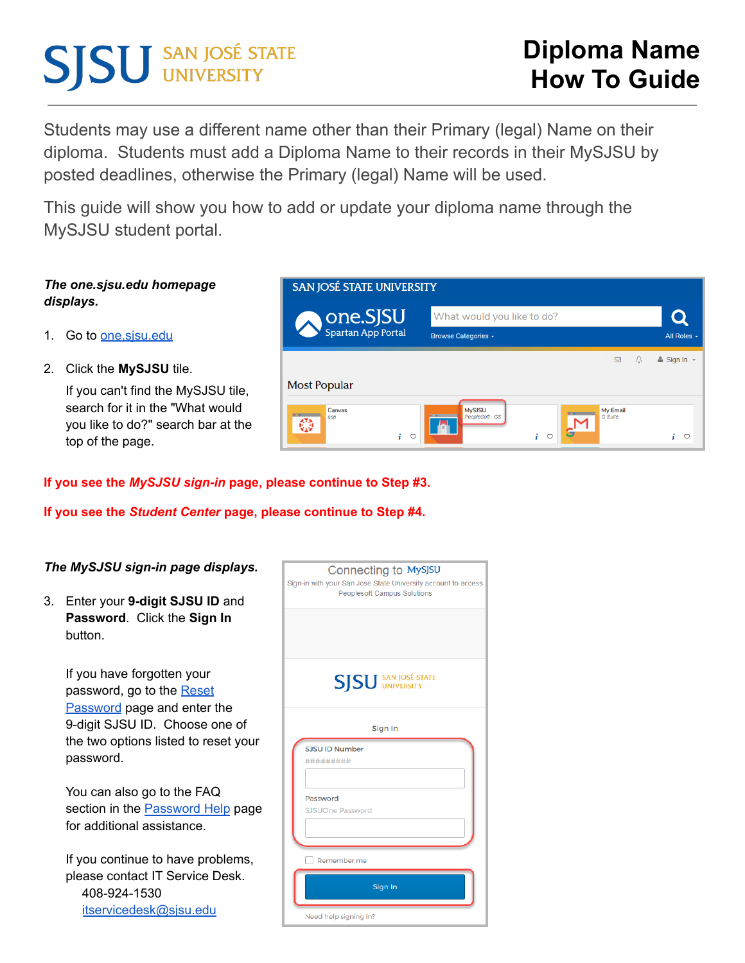# **SJSU** SAN JOSÉ STATE

Students may use a different name other than their Primary (legal) Name on their diploma. Students must add a Diploma Name to their records in their MySJSU by posted deadlines, otherwise the Primary (legal) Name will be used.

This guide will show you how to add or update your diploma name through the MySJSU student portal.

## *The one.sjsu.edu homepage displays.*

- 1. Go to one sisuedu
- 2. Click the **MySJSU** tile.

If you can't find the MySJSU tile, search for it in the "What would you like to do?" search bar at the top of the page.

| one.SJSU           | What would you like to do? |               |                            |
|--------------------|----------------------------|---------------|----------------------------|
| Spartan App Portal | Browse Categories -        |               | All Roles -                |
|                    |                            | ⊠<br>$\Omega$ | $\triangle$ Sign In $\sim$ |
|                    |                            |               |                            |
| Most Popular       |                            |               |                            |

## **If you see the** *MySJSU sign-in* **page, please continue to Step #3.**

**If you see the** *Student Center* **page, please continue to Step #4.**

| The MySJSU sign-in page displays.                                                                                         | Connecting to MySJSU<br>Sign-in with your San Jose State University account to access |
|---------------------------------------------------------------------------------------------------------------------------|---------------------------------------------------------------------------------------|
| 3.<br>Enter your 9-digit SJSU ID and<br>Password. Click the Sign In<br>button.                                            | <b>Peoplesoft Campus Solutions</b>                                                    |
| If you have forgotten your<br>password, go to the Reset                                                                   | <b>SISU</b> SAN JOSÉ STATE                                                            |
| <b>Password</b> page and enter the<br>9-digit SJSU ID. Choose one of<br>the two options listed to reset your<br>password. | Sign In<br>SJSU ID Number<br>**********                                               |
| You can also go to the FAQ<br>section in the <b>Password Help</b> page<br>for additional assistance.                      | Password<br>SJSUOne Password                                                          |
| If you continue to have problems,<br>please contact IT Service Desk.<br>408-924-1530<br>itservicedesk@sjsu.edu            | Remember me<br>Sign In<br>Need help signing in?                                       |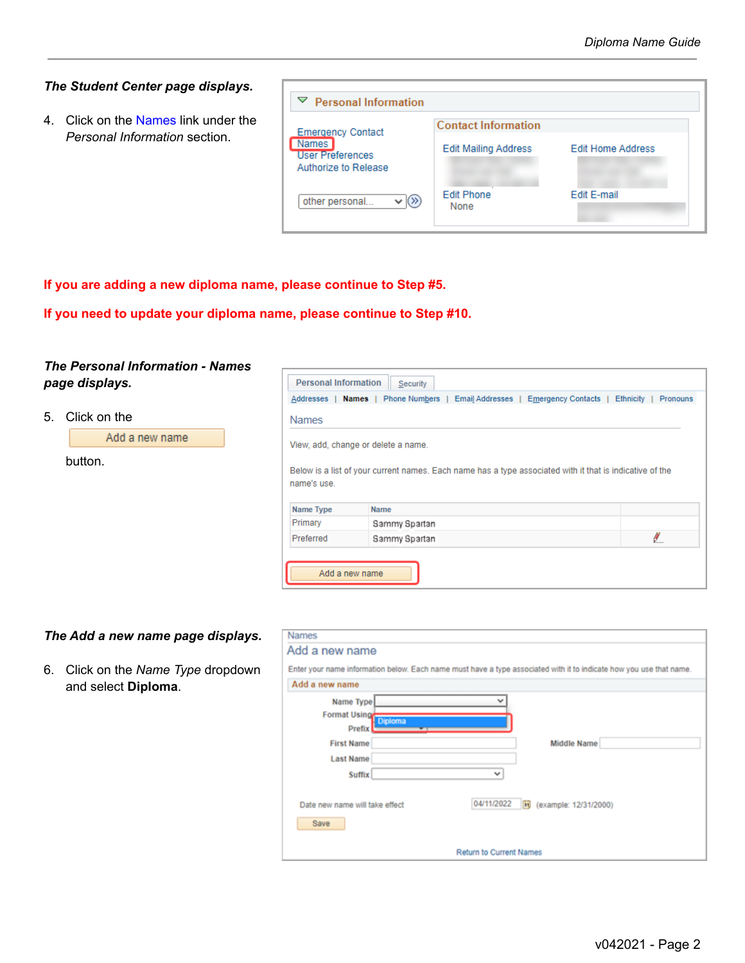#### *The Student Center page displays.*

4. Click on the Names link under the *Personal Information* section.

| ▽<br><b>Personal Information</b>                                |                             |                          |
|-----------------------------------------------------------------|-----------------------------|--------------------------|
| <b>Emergency Contact</b>                                        | <b>Contact Information</b>  |                          |
| <b>Names</b><br><b>User Preferences</b><br>Authorize to Release | <b>Edit Mailing Address</b> | <b>Edit Home Address</b> |
| other personal                                                  | <b>Edit Phone</b><br>None   | Edit E-mail              |

**If you are adding a new diploma name, please continue to Step #5.**

**If you need to update your diploma name, please continue to Step #10.**

#### *The Personal Information - Names page displays.*

5. Click on the

| Add a new name |
|----------------|
| button.        |

| <b>Personal Information</b><br><b>Security</b><br>Phone Numbers  <br>Email Addresses   Emergency Contacts  <br>Addresses<br>Names  <br>Ethnicity  <br>Pronouns |                                                                                                          |   |
|----------------------------------------------------------------------------------------------------------------------------------------------------------------|----------------------------------------------------------------------------------------------------------|---|
| <b>Names</b>                                                                                                                                                   |                                                                                                          |   |
|                                                                                                                                                                | View, add, change or delete a name.                                                                      |   |
| name's use.                                                                                                                                                    | Below is a list of your current names. Each name has a type associated with it that is indicative of the |   |
|                                                                                                                                                                |                                                                                                          |   |
| Name Type                                                                                                                                                      | <b>Name</b>                                                                                              |   |
| Primary                                                                                                                                                        | Sammy Spartan                                                                                            |   |
| Preferred                                                                                                                                                      | Sammy Spartan                                                                                            | ø |

#### *The Add a new name page displays.*

6. Click on the *Name Type* dropdown and select **Diploma**.

| <b>Names</b>                   |                                                                                                                     |
|--------------------------------|---------------------------------------------------------------------------------------------------------------------|
| Add a new name                 |                                                                                                                     |
|                                | Enter your name information below. Each name must have a type associated with it to indicate how you use that name. |
| Add a new name                 |                                                                                                                     |
| Name Type                      |                                                                                                                     |
| Format Using                   |                                                                                                                     |
| <b>Diploma</b><br>Prefix       |                                                                                                                     |
| <b>First Name</b>              | <b>Middle Name</b>                                                                                                  |
| <b>Last Name</b>               |                                                                                                                     |
| <b>Suffix</b>                  | v                                                                                                                   |
|                                |                                                                                                                     |
| Date new name will take effect | 04/11/2022<br>Fil (example: 12/31/2000)                                                                             |
| Save                           |                                                                                                                     |
|                                |                                                                                                                     |
|                                | <b>Return to Current Names</b>                                                                                      |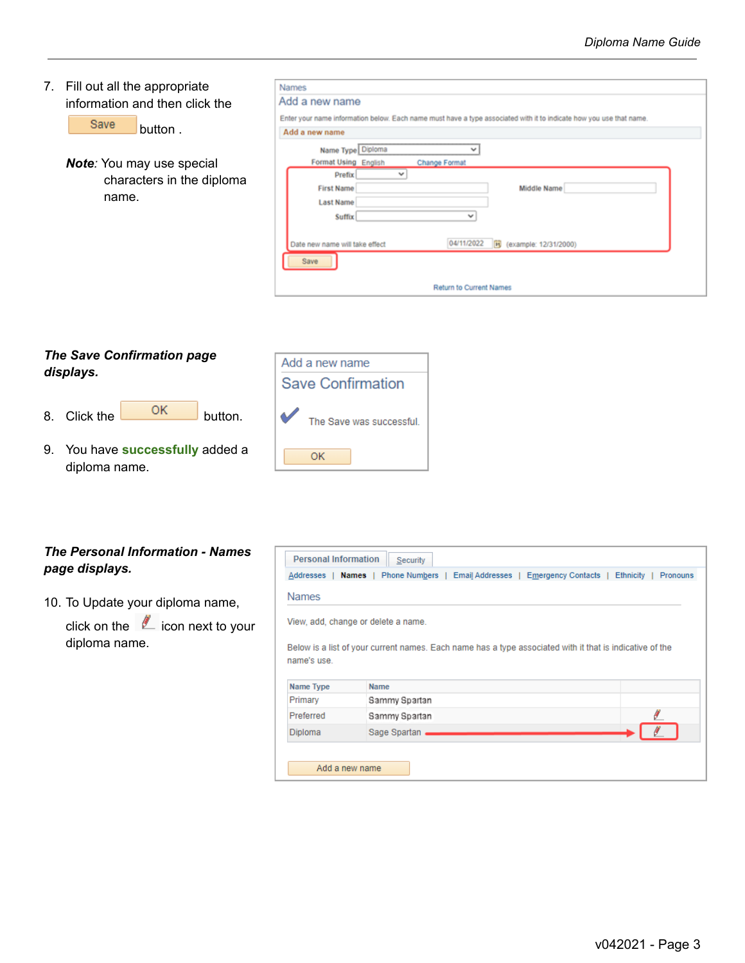| 7. Fill out all the appropriate<br>information and then click the<br>Save<br>button. | <b>Names</b><br>Add a new name<br>Enter your name information below. Each name must have a type associated with it to indicate how you use that name.<br>Add a new name                                                                                                     |
|--------------------------------------------------------------------------------------|-----------------------------------------------------------------------------------------------------------------------------------------------------------------------------------------------------------------------------------------------------------------------------|
| <b>Note:</b> You may use special<br>characters in the diploma<br>name.               | Name Type Diploma<br>Format Using English<br>Change Format<br>$\checkmark$<br>Prefix<br><b>First Name</b><br>Middle Name<br><b>Last Name</b><br><b>Suffix</b><br>$\checkmark$<br>04/11/2022<br><b>Pt</b><br>Date new name will take effect<br>(example: 12/31/2000)<br>Save |
|                                                                                      | Return to Current Names                                                                                                                                                                                                                                                     |

# *The Save Confirmation page displays.*

8. Click the button.

9. You have **successfully** added a diploma name.



## *The Personal Information - Names page displays.*

10. To Update your diploma name,

click on the  $\mathbb Z$  icon next to your diploma name.

| <b>Personal Information</b> | Security                                                                                                  |  |
|-----------------------------|-----------------------------------------------------------------------------------------------------------|--|
|                             | Addresses   Names   Phone Numbers   Email Addresses   Emergency Contacts   Ethnicity  <br><b>Pronouns</b> |  |
| <b>Names</b>                |                                                                                                           |  |
|                             | View, add, change or delete a name.                                                                       |  |
|                             |                                                                                                           |  |
|                             | Below is a list of your current names. Each name has a type associated with it that is indicative of the  |  |
| name's use.                 |                                                                                                           |  |
| Name Type                   | <b>Name</b>                                                                                               |  |
| Primary                     | Sammy Spartan                                                                                             |  |
| Preferred                   | Sammy Spartan                                                                                             |  |
| Diploma                     | Sage Spartan                                                                                              |  |
|                             |                                                                                                           |  |
|                             | Add a new name                                                                                            |  |
|                             |                                                                                                           |  |